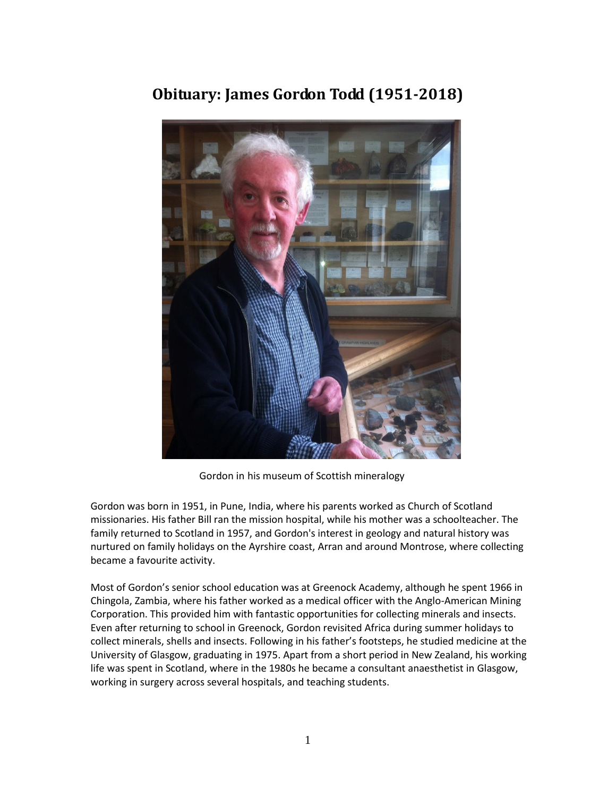

## **Obituary: James Gordon Todd (1951-2018)**

Gordon in his museum of Scottish mineralogy

Gordon was born in 1951, in Pune, India, where his parents worked as Church of Scotland missionaries. His father Bill ran the mission hospital, while his mother was a schoolteacher. The family returned to Scotland in 1957, and Gordon's interest in geology and natural history was nurtured on family holidays on the Ayrshire coast, Arran and around Montrose, where collecting became a favourite activity.

Most of Gordon's senior school education was at Greenock Academy, although he spent 1966 in Chingola, Zambia, where his father worked as a medical officer with the Anglo-American Mining Corporation. This provided him with fantastic opportunities for collecting minerals and insects. Even after returning to school in Greenock, Gordon revisited Africa during summer holidays to collect minerals, shells and insects. Following in his father's footsteps, he studied medicine at the University of Glasgow, graduating in 1975. Apart from a short period in New Zealand, his working life was spent in Scotland, where in the 1980s he became a consultant anaesthetist in Glasgow, working in surgery across several hospitals, and teaching students.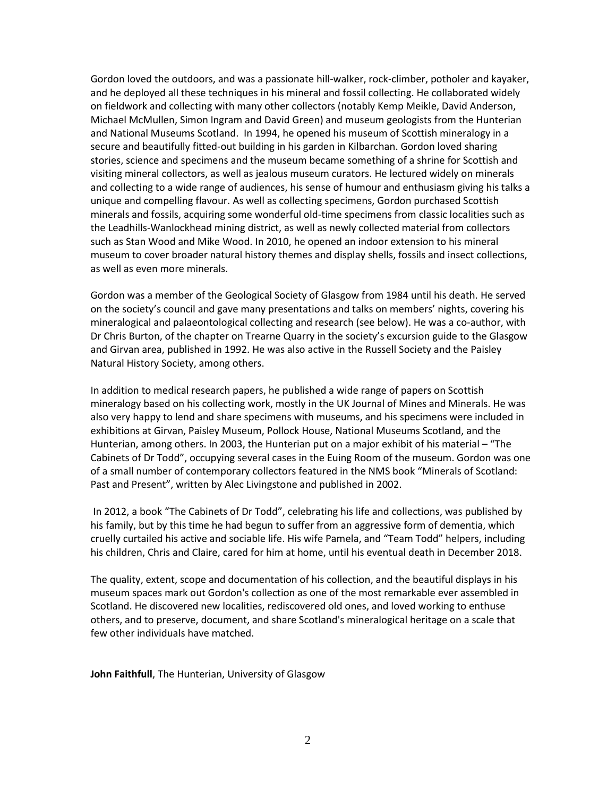Gordon loved the outdoors, and was a passionate hill-walker, rock-climber, potholer and kayaker, and he deployed all these techniques in his mineral and fossil collecting. He collaborated widely on fieldwork and collecting with many other collectors (notably Kemp Meikle, David Anderson, Michael McMullen, Simon Ingram and David Green) and museum geologists from the Hunterian and National Museums Scotland. In 1994, he opened his museum of Scottish mineralogy in a secure and beautifully fitted-out building in his garden in Kilbarchan. Gordon loved sharing stories, science and specimens and the museum became something of a shrine for Scottish and visiting mineral collectors, as well as jealous museum curators. He lectured widely on minerals and collecting to a wide range of audiences, his sense of humour and enthusiasm giving his talks a unique and compelling flavour. As well as collecting specimens, Gordon purchased Scottish minerals and fossils, acquiring some wonderful old-time specimens from classic localities such as the Leadhills-Wanlockhead mining district, as well as newly collected material from collectors such as Stan Wood and Mike Wood. In 2010, he opened an indoor extension to his mineral museum to cover broader natural history themes and display shells, fossils and insect collections, as well as even more minerals.

Gordon was a member of the Geological Society of Glasgow from 1984 until his death. He served on the society's council and gave many presentations and talks on members' nights, covering his mineralogical and palaeontological collecting and research (see below). He was a co-author, with Dr Chris Burton, of the chapter on Trearne Quarry in the society's excursion guide to the Glasgow and Girvan area, published in 1992. He was also active in the Russell Society and the Paisley Natural History Society, among others.

In addition to medical research papers, he published a wide range of papers on Scottish mineralogy based on his collecting work, mostly in the UK Journal of Mines and Minerals. He was also very happy to lend and share specimens with museums, and his specimens were included in exhibitions at Girvan, Paisley Museum, Pollock House, National Museums Scotland, and the Hunterian, among others. In 2003, the Hunterian put on a major exhibit of his material – "The Cabinets of Dr Todd", occupying several cases in the Euing Room of the museum. Gordon was one of a small number of contemporary collectors featured in the NMS book "Minerals of Scotland: Past and Present", written by Alec Livingstone and published in 2002.

In 2012, a book "The Cabinets of Dr Todd", celebrating his life and collections, was published by his family, but by this time he had begun to suffer from an aggressive form of dementia, which cruelly curtailed his active and sociable life. His wife Pamela, and "Team Todd" helpers, including his children, Chris and Claire, cared for him at home, until his eventual death in December 2018.

The quality, extent, scope and documentation of his collection, and the beautiful displays in his museum spaces mark out Gordon's collection as one of the most remarkable ever assembled in Scotland. He discovered new localities, rediscovered old ones, and loved working to enthuse others, and to preserve, document, and share Scotland's mineralogical heritage on a scale that few other individuals have matched.

**John Faithfull**, The Hunterian, University of Glasgow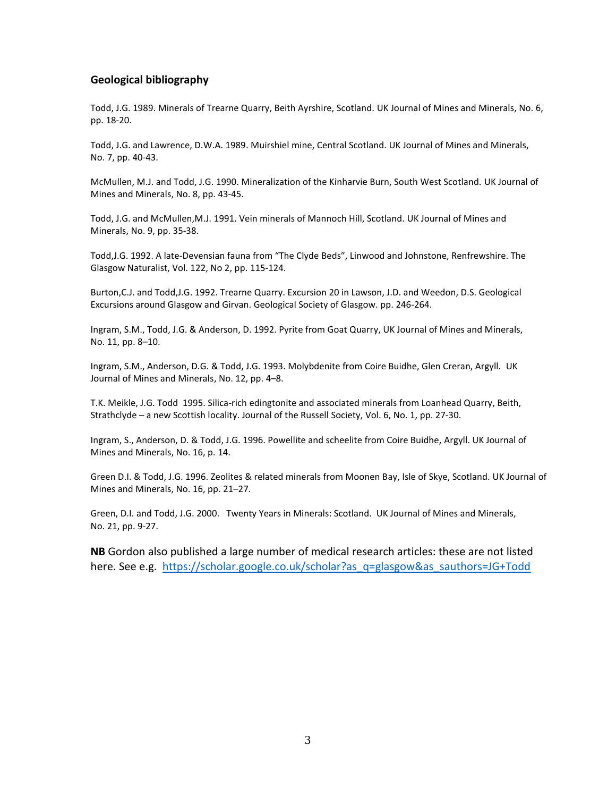## **Geological bibliography**

Todd, J.G. 1989. Minerals of Trearne Quarry, Beith Ayrshire, Scotland. UK Journal of Mines and Minerals, No. 6, pp. 18-20.

Todd, J.G. and Lawrence, D.W.A. 1989. Muirshiel mine, Central Scotland. UK Journal of Mines and Minerals, No. 7, pp. 40-43.

McMullen, M.J. and Todd, J.G. 1990. Mineralization of the Kinharvie Burn, South West Scotland. UK Journal of Mines and Minerals, No. 8, pp. 43-45.

Todd, J.G. and McMullen,M.J. 1991. Vein minerals of Mannoch Hill, Scotland. UK Journal of Mines and Minerals, No. 9, pp. 35-38.

Todd,J.G. 1992. A late-Devensian fauna from "The Clyde Beds", Linwood and Johnstone, Renfrewshire. The Glasgow Naturalist, Vol. 122, No 2, pp. 115-124.

Burton,C.J. and Todd,J.G. 1992. Trearne Quarry. Excursion 20 in Lawson, J.D. and Weedon, D.S. Geological Excursions around Glasgow and Girvan. Geological Society of Glasgow. pp. 246-264.

Ingram, S.M., Todd, J.G. & Anderson, D. 1992. Pyrite from Goat Quarry, UK Journal of Mines and Minerals, No. 11, pp. 8–10.

Ingram, S.M., Anderson, D.G. & Todd, J.G. 1993. Molybdenite from Coire Buidhe, Glen Creran, Argyll. UK Journal of Mines and Minerals, No. 12, pp. 4–8.

T.K. Meikle, J.G. Todd 1995. Silica-rich edingtonite and associated minerals from Loanhead Quarry, Beith, Strathclyde – a new Scottish locality. Journal of the Russell Society, Vol. 6, No. 1, pp. 27-30.

Ingram, S., Anderson, D. & Todd, J.G. 1996. Powellite and scheelite from Coire Buidhe, Argyll. UK Journal of Mines and Minerals, No. 16, p. 14.

Green D.I. & Todd, J.G. 1996. Zeolites & related minerals from Moonen Bay, Isle of Skye, Scotland. UK Journal of Mines and Minerals, No. 16, pp. 21–27.

Green, D.I. and Todd, J.G. 2000. Twenty Years in Minerals: Scotland. UK Journal of Mines and Minerals, No. 21, pp. 9-27.

**NB** Gordon also published a large number of medical research articles: these are not listed here. See e.g. [https://scholar.google.co.uk/scholar?as\\_q=glasgow&as\\_sauthors=JG+Todd](https://scholar.google.co.uk/scholar?as_q=glasgow&as_sauthors=JG+Todd)